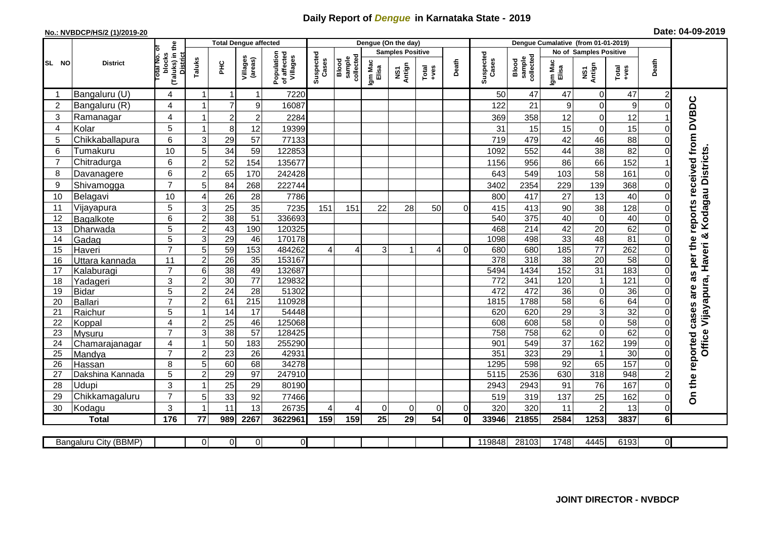## **Daily Report of** *Dengue* **in Karnataka State - 2019**

## **No.: NVBDCP/HS/2 (1)/2019-20 Date: 04-09-2019**

|                |                       | $\overset{\mathtt{e}}{\varepsilon}$             |                         | <b>Total Dengue affected</b> |                     |                                       |                    |                              | Dengue (On the day) |                         |                |          |                    |                              |                  |                        |                  |                |                                     |
|----------------|-----------------------|-------------------------------------------------|-------------------------|------------------------------|---------------------|---------------------------------------|--------------------|------------------------------|---------------------|-------------------------|----------------|----------|--------------------|------------------------------|------------------|------------------------|------------------|----------------|-------------------------------------|
|                |                       |                                                 |                         |                              |                     |                                       |                    |                              |                     | <b>Samples Positive</b> |                |          |                    |                              |                  | No of Samples Positive |                  |                |                                     |
| SL NO          | <b>District</b>       | otal No.<br>blocks<br>(Taluks) in t<br>District | Taluks                  | È                            | Villages<br>(areas) | Population<br>of affected<br>Villages | Suspected<br>Cases | collected<br>sample<br>Blood | Igm Mac<br>Elisa    | NS1<br>Antign           | Total<br>+ves  | Death    | Suspected<br>Cases | collected<br>sample<br>Blood | Igm Mac<br>Elisa | NS1<br>Antign          | Total<br>+ves    | Death          |                                     |
|                | Bangaluru (U)         | 4                                               | 1                       | $\mathbf 1$                  |                     | 7220                                  |                    |                              |                     |                         |                |          | 50                 | 47                           | 47               | 0                      | 47               | 2              |                                     |
| $\overline{2}$ | Bangaluru (R)         | 4                                               |                         | $\overline{7}$               | 9                   | 16087                                 |                    |                              |                     |                         |                |          | 122                | 21                           | 9                | 0                      | $\boldsymbol{9}$ | $\Omega$       |                                     |
| 3              | Ramanagar             | 4                                               | 1                       | $\overline{\mathbf{c}}$      | $\overline{c}$      | 2284                                  |                    |                              |                     |                         |                |          | 369                | 358                          | 12               | 0                      | 12               |                | per the reports received from DVBDC |
| 4              | Kolar                 | 5                                               | 1                       | $\,8\,$                      | 12                  | 19399                                 |                    |                              |                     |                         |                |          | 31                 | 15                           | 15               | 0                      | 15               | O              |                                     |
| 5              | Chikkaballapura       | 6                                               | 3                       | 29                           | 57                  | 77133                                 |                    |                              |                     |                         |                |          | 719                | 479                          | 42               | 46                     | 88               | $\Omega$       |                                     |
| 6              | Tumakuru              | 10                                              | 5                       | 34                           | 59                  | 122853                                |                    |                              |                     |                         |                |          | 1092               | 552                          | 44               | 38                     | 82               | $\Omega$       |                                     |
| $\overline{7}$ | Chitradurga           | 6                                               | $\overline{c}$          | 52                           | 154                 | 135677                                |                    |                              |                     |                         |                |          | 1156               | 956                          | 86               | 66                     | 152              |                |                                     |
| 8              | Davanagere            | 6                                               | $\boldsymbol{2}$        | 65                           | 170                 | 242428                                |                    |                              |                     |                         |                |          | 643                | 549                          | 103              | 58                     | 161              | $\Omega$       | Kodagau Districts                   |
| 9              | Shivamogga            | $\overline{7}$                                  | 5                       | 84                           | 268                 | 222744                                |                    |                              |                     |                         |                |          | 3402               | 2354                         | 229              | 139                    | 368              | $\Omega$       |                                     |
| 10             | Belagavi              | 10                                              | 4                       | 26                           | 28                  | 7786                                  |                    |                              |                     |                         |                |          | 800                | 417                          | 27               | 13                     | 40               | $\Omega$       |                                     |
| 11             | Vijayapura            | 5                                               | 3                       | $\overline{25}$              | 35                  | 7235                                  | 151                | 151                          | 22                  | 28                      | 50             | $\Omega$ | 415                | 413                          | 90               | 38                     | 128              | $\Omega$       |                                     |
| 12             | Bagalkote             | 6                                               | $\overline{2}$          | 38                           | 51                  | 336693                                |                    |                              |                     |                         |                |          | 540                | 375                          | 40               | $\overline{0}$         | 40               | $\mathbf 0$    |                                     |
| 13             | Dharwada              | 5                                               | $\overline{2}$          | 43                           | 190                 | 120325                                |                    |                              |                     |                         |                |          | 468                | $\overline{214}$             | 42               | $\overline{20}$        | 62               | $\Omega$       |                                     |
| 14             | Gadag                 | 5                                               | 3                       | 29                           | 46                  | 170178                                |                    |                              |                     |                         |                |          | 1098               | 498                          | 33               | 48                     | 81               | $\Omega$       | න්                                  |
| 15             | Haveri                | $\overline{7}$                                  | $\overline{5}$          | 59                           | 153                 | 484262                                | $\overline{4}$     | $\Delta$                     | 3                   | 1                       | $\overline{4}$ | $\Omega$ | 680                | 680                          | 185              | $\overline{77}$        | 262              | $\mathbf 0$    | Vijayapura, Haveri                  |
| 16             | Uttara kannada        | 11                                              | $\overline{2}$          | $\overline{26}$              | 35                  | 153167                                |                    |                              |                     |                         |                |          | $\overline{378}$   | 318                          | $\overline{38}$  | 20                     | $\overline{58}$  | $\Omega$       |                                     |
| 17             | Kalaburagi            | $\overline{7}$                                  | 6                       | 38                           | 49                  | 132687                                |                    |                              |                     |                         |                |          | 5494               | 1434                         | 152              | 31                     | 183              | $\Omega$       |                                     |
| 18             | Yadageri              | 3                                               | $\overline{\mathbf{c}}$ | 30                           | 77                  | 129832                                |                    |                              |                     |                         |                |          | 772                | 341                          | 120              | $\mathbf{1}$           | 121              | $\Omega$       | as                                  |
| 19             | Bidar                 | 5                                               | $\overline{c}$          | $\overline{24}$              | 28                  | 51302                                 |                    |                              |                     |                         |                |          | 472                | 472                          | 36               | $\boldsymbol{0}$       | 36               | $\Omega$       |                                     |
| 20             | <b>Ballari</b>        | $\overline{7}$                                  | $\overline{2}$          | 61                           | $\overline{215}$    | 110928                                |                    |                              |                     |                         |                |          | 1815               | 1788                         | 58               | 6                      | 64               | $\Omega$       |                                     |
| 21             | Raichur               | $\overline{5}$                                  | $\mathbf{1}$            | 14                           | $\overline{17}$     | 54448                                 |                    |                              |                     |                         |                |          | 620                | 620                          | 29               | $\overline{3}$         | 32               | $\mathbf 0$    |                                     |
| 22             | Koppal                | 4                                               | $\boldsymbol{2}$        | $\overline{25}$              | 46                  | 125068                                |                    |                              |                     |                         |                |          | 608                | 608                          | 58               | $\boldsymbol{0}$       | $\overline{58}$  | $\mathbf 0$    |                                     |
| 23             | Mysuru                | $\overline{7}$                                  | 3                       | 38                           | 57                  | 128425                                |                    |                              |                     |                         |                |          | 758                | 758                          | 62               | $\mathbf 0$            | 62               | $\mathbf 0$    | Office                              |
| 24             | Chamarajanagar        | 4                                               | $\mathbf{1}$            | 50                           | 183                 | 255290                                |                    |                              |                     |                         |                |          | 901                | 549                          | $\overline{37}$  | 162                    | 199              | $\Omega$       |                                     |
| 25             | Mandya                | $\overline{7}$                                  | $\overline{2}$          | $\overline{23}$              | $\overline{26}$     | 42931                                 |                    |                              |                     |                         |                |          | 351                | 323                          | 29               | $\mathbf{1}$           | 30               | $\mathbf 0$    |                                     |
| 26             | Hassan                | 8                                               | 5                       | 60                           | 68                  | 34278                                 |                    |                              |                     |                         |                |          | 1295               | 598                          | 92               | 65                     | 157              | $\mathbf 0$    |                                     |
| 27             | Dakshina Kannada      | 5                                               | $\overline{\mathbf{c}}$ | 29                           | 97                  | 247910                                |                    |                              |                     |                         |                |          | 5115               | 2536                         | 630              | 318                    | 948              |                |                                     |
| 28             | Udupi                 | 3                                               | $\mathbf{1}$            | 25                           | 29                  | 80190                                 |                    |                              |                     |                         |                |          | 2943               | 2943                         | 91               | 76                     | 167              | $\Omega$       | On the reported cases are           |
| 29             | Chikkamagaluru        | $\overline{7}$                                  | 5                       | 33                           | 92                  | 77466                                 |                    |                              |                     |                         |                |          | 519                | 319                          | 137              | 25                     | 162              | $\Omega$       |                                     |
| 30             | Kodagu                | 3                                               | -1                      | 11                           | 13                  | 26735                                 | $\overline{4}$     | 4                            | 0                   | $\overline{0}$          | 0              | $\Omega$ | 320                | 320                          | 11               | $\overline{c}$         | 13               | $\mathbf 0$    |                                     |
|                | <b>Total</b>          | 176                                             | 77                      | 989                          | 2267                | 3622961                               | 159                | 159                          | 25                  | 29                      | 54             | $\bf{0}$ | 33946              | 21855                        | 2584             | 1253                   | 3837             | 6              |                                     |
|                |                       |                                                 |                         |                              |                     |                                       |                    |                              |                     |                         |                |          |                    |                              |                  |                        |                  |                |                                     |
|                | Bangaluru City (BBMP) |                                                 | 01                      | 0                            | $\Omega$            | $\overline{0}$                        |                    |                              |                     |                         |                |          | 119848             | 28103                        | 1748             | 4445                   | 6193             | $\overline{0}$ |                                     |